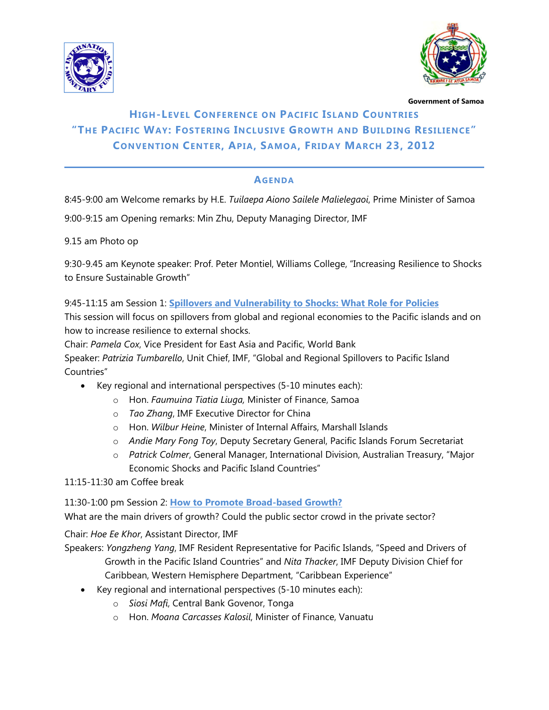



 **Government of Samoa** 

## **HIGH-LEVEL CONFERENCE ON PACIFIC ISLAND COUNTRIES "THE PACIFIC WAY: FOSTERING INCLUSIVE GROWTH AND BUILDING RESILIENCE" CONVENTION CENTER, APIA, SAMOA, FRIDAY MARCH 23, 2012**

## **AGENDA**

8:45-9:00 am Welcome remarks by H.E. *Tuilaepa Aiono Sailele Malielegaoi*, Prime Minister of Samoa

9:00-9:15 am Opening remarks: Min Zhu, Deputy Managing Director, IMF

9.15 am Photo op

9:30-9.45 am Keynote speaker: Prof. Peter Montiel, Williams College, "Increasing Resilience to Shocks to Ensure Sustainable Growth"

9:45-11:15 am Session 1: **Spillovers and Vulnerability to Shocks: What Role for Policies**

This session will focus on spillovers from global and regional economies to the Pacific islands and on how to increase resilience to external shocks.

Chair: *Pamela Cox*, Vice President for East Asia and Pacific, World Bank

Speaker: *Patrizia Tumbarello*, Unit Chief, IMF, "Global and Regional Spillovers to Pacific Island Countries"

- Key regional and international perspectives (5-10 minutes each):
	- o Hon. *Faumuina Tiatia Liuga,* Minister of Finance, Samoa
	- o *Tao Zhang*, IMF Executive Director for China
	- o Hon. *Wilbur Heine*, Minister of Internal Affairs, Marshall Islands
	- o *Andie Mary Fong Toy*, Deputy Secretary General, Pacific Islands Forum Secretariat
	- o *Patrick Colmer*, General Manager, International Division, Australian Treasury, "Major Economic Shocks and Pacific Island Countries"

11:15-11:30 am Coffee break

11:30-1:00 pm Session 2: **How to Promote Broad-based Growth?**

What are the main drivers of growth? Could the public sector crowd in the private sector?

Chair: *Hoe Ee Khor*, Assistant Director, IMF

Speakers: *Yongzheng Yang*, IMF Resident Representative for Pacific Islands, "Speed and Drivers of Growth in the Pacific Island Countries" and *Nita Thacker*, IMF Deputy Division Chief for Caribbean, Western Hemisphere Department, "Caribbean Experience"

- Key regional and international perspectives (5-10 minutes each):
	- o *Siosi Mafi*, Central Bank Govenor, Tonga
	- o Hon. *Moana Carcasses Kalosil*, Minister of Finance, Vanuatu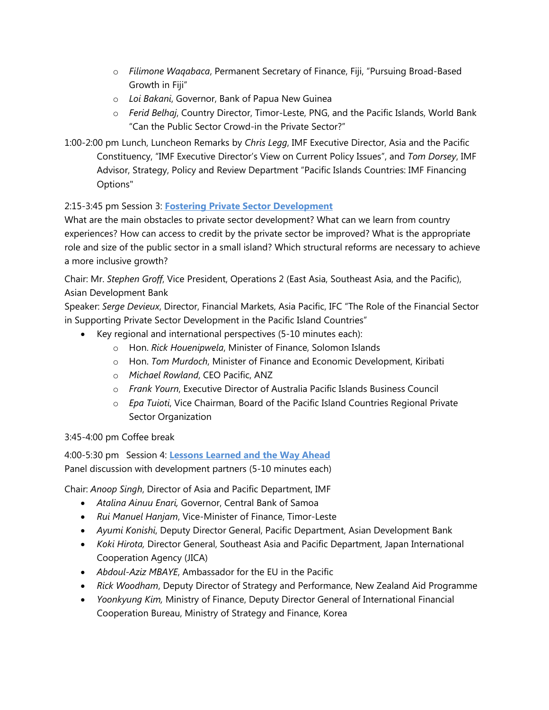- o *Filimone Waqabaca*, Permanent Secretary of Finance, Fiji, "Pursuing Broad-Based Growth in Fiji"
- o *Loi Bakani*, Governor, Bank of Papua New Guinea
- o *Ferid Belhaj*, Country Director, Timor-Leste, PNG, and the Pacific Islands, World Bank "Can the Public Sector Crowd-in the Private Sector?"

1:00-2:00 pm Lunch, Luncheon Remarks by *Chris Legg*, IMF Executive Director, Asia and the Pacific Constituency, "IMF Executive Director's View on Current Policy Issues", and *Tom Dorsey*, IMF Advisor, Strategy, Policy and Review Department "Pacific Islands Countries: IMF Financing Options"

## 2:15-3:45 pm Session 3: **Fostering Private Sector Development**

What are the main obstacles to private sector development? What can we learn from country experiences? How can access to credit by the private sector be improved? What is the appropriate role and size of the public sector in a small island? Which structural reforms are necessary to achieve a more inclusive growth?

Chair: Mr. *Stephen Groff*, Vice President, Operations 2 (East Asia, Southeast Asia, and the Pacific), Asian Development Bank

Speaker: *Serge Devieux*, Director, Financial Markets, Asia Pacific, IFC "The Role of the Financial Sector in Supporting Private Sector Development in the Pacific Island Countries"

- Key regional and international perspectives (5-10 minutes each):
	- o Hon. *Rick Houenipwela*, Minister of Finance, Solomon Islands
	- o Hon. *Tom Murdoch*, Minister of Finance and Economic Development, Kiribati
	- o *Michael Rowland*, CEO Pacific, ANZ
	- o *Frank Yourn*, Executive Director of Australia Pacific Islands Business Council
	- o *Epa Tuioti*, Vice Chairman, Board of the Pacific Island Countries Regional Private Sector Organization

3:45-4:00 pm Coffee break

4:00-5:30 pm Session 4: **Lessons Learned and the Way Ahead** Panel discussion with development partners (5-10 minutes each)

Chair: *Anoop Singh*, Director of Asia and Pacific Department, IMF

- *Atalina Ainuu Enari,* Governor, Central Bank of Samoa
- *Rui Manuel Hanjam*, Vice-Minister of Finance, Timor-Leste
- *Ayumi Konishi*, Deputy Director General, Pacific Department, Asian Development Bank
- *Koki Hirota,* Director General, Southeast Asia and Pacific Department, Japan International Cooperation Agency (JICA)
- *Abdoul-Aziz MBAYE*, Ambassador for the EU in the Pacific
- *Rick Woodham*, Deputy Director of Strategy and Performance, New Zealand Aid Programme
- *Yoonkyung Kim,* Ministry of Finance, Deputy Director General of International Financial Cooperation Bureau, Ministry of Strategy and Finance, Korea